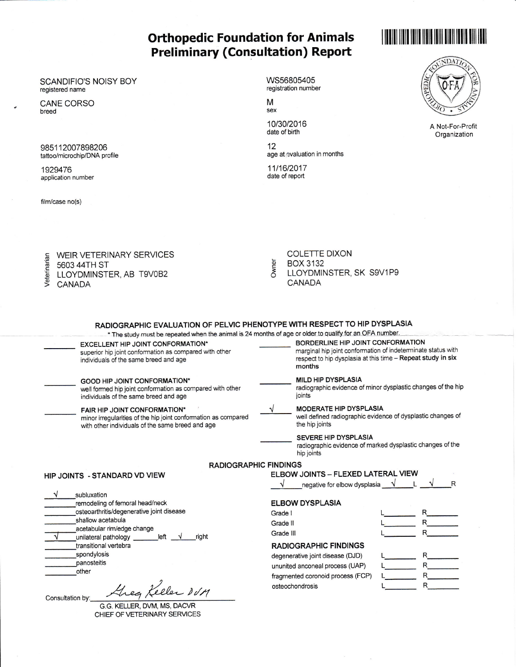## **Orthopedic Foundation for Animals Preliminary (Consultation) Report**

## SCANDIFIO'S NOISY BOY registered name

CANE CORSO breed

985112007898206 tattoo/microchip/DNA profile

1929476 application number

film/case no(s)

WS56805405 registration number

M sex

10/30/2016 date of birth

 $12$ age at evaluation in months

11/16/2017 date of report





A Not-For-Profit Organization

| WEIR VETERINARY SERVICES                                                     |  |
|------------------------------------------------------------------------------|--|
| 5603 44TH ST                                                                 |  |
| E WEIR VE<br>E 5603 44TI<br>E LLOYDMI<br>S CANADA<br>LLOYDMINSTER, AB T9V0B2 |  |
|                                                                              |  |
|                                                                              |  |

**COLETTE DIXON** Owner **BOX 3132** LLOYDMINSTER, SK S9V1P9 CANADA

| RADIOGRAPHIC EVALUATION OF PELVIC PHENOTYPE WITH RESPECT TO HIP DYSPLASIA<br>* The study must be repeated when the animal is 24 months of age or older to qualify for an OFA number. |                                                                                                                                                                                                                                                                                                                                                                                                                                                      |
|--------------------------------------------------------------------------------------------------------------------------------------------------------------------------------------|------------------------------------------------------------------------------------------------------------------------------------------------------------------------------------------------------------------------------------------------------------------------------------------------------------------------------------------------------------------------------------------------------------------------------------------------------|
| EXCELLENT HIP JOINT CONFORMATION*<br>superior hip joint conformation as compared with other<br>individuals of the same breed and age                                                 | BORDERLINE HIP JOINT CONFORMATION<br>marginal hip joint conformation of indeterminate status with<br>respect to hip dysplasia at this time - Repeat study in six<br>months                                                                                                                                                                                                                                                                           |
| GOOD HIP JOINT CONFORMATION*<br>well formed hip joint conformation as compared with other<br>individuals of the same breed and age                                                   | <b>MILD HIP DYSPLASIA</b><br>radiographic evidence of minor dysplastic changes of the hip<br>joints                                                                                                                                                                                                                                                                                                                                                  |
| <b>FAIR HIP JOINT CONFORMATION*</b><br>minor irregularities of the hip joint conformation as compared<br>with other individuals of the same breed and age                            | <b>MODERATE HIP DYSPLASIA</b><br>well defined radiographic evidence of dysplastic changes of<br>the hip joints                                                                                                                                                                                                                                                                                                                                       |
|                                                                                                                                                                                      | SEVERE HIP DYSPLASIA<br>radiographic evidence of marked dysplastic changes of the<br>hip joints                                                                                                                                                                                                                                                                                                                                                      |
| <b>RADIOGRAPHIC FINDINGS</b>                                                                                                                                                         |                                                                                                                                                                                                                                                                                                                                                                                                                                                      |
| HIP JOINTS - STANDARD VD VIEW                                                                                                                                                        | ELBOW JOINTS - FLEXED LATERAL VIEW<br>negative for elbow dysplasia $\sqrt{1-\frac{1}{\sqrt{1-\frac{1}{\sqrt{1-\frac{1}{\sqrt{1-\frac{1}{\sqrt{1-\frac{1}{\sqrt{1-\frac{1}{\sqrt{1-\frac{1}{\sqrt{1-\frac{1}{\sqrt{1-\frac{1}{\sqrt{1-\frac{1}{\sqrt{1-\frac{1}{\sqrt{1-\frac{1}{\sqrt{1-\frac{1}{\sqrt{1-\frac{1}{\sqrt{1-\frac{1}{\sqrt{1-\frac{1}{\sqrt{1-\frac{1}{\sqrt{1-\frac{1}{\sqrt{1-\frac{1}{\sqrt{1-\frac{1}{\sqrt{1-\frac{1}{\sqrt$<br>R |
| subluxation                                                                                                                                                                          |                                                                                                                                                                                                                                                                                                                                                                                                                                                      |
| remodeling of femoral head/neck                                                                                                                                                      | <b>ELBOW DYSPLASIA</b>                                                                                                                                                                                                                                                                                                                                                                                                                               |
| osteoarthritis/degenerative joint disease<br>shallow acetabula                                                                                                                       | R<br>Grade I                                                                                                                                                                                                                                                                                                                                                                                                                                         |
| acetabular rim/edge change                                                                                                                                                           | R<br>Grade II                                                                                                                                                                                                                                                                                                                                                                                                                                        |
| $left \sqrt{ }$<br>unilateral pathology<br>riaht                                                                                                                                     | Grade III                                                                                                                                                                                                                                                                                                                                                                                                                                            |
| transitional vertebra                                                                                                                                                                | <b>RADIOGRAPHIC FINDINGS</b>                                                                                                                                                                                                                                                                                                                                                                                                                         |
| spondylosis                                                                                                                                                                          | degenerative joint disease (DJD)                                                                                                                                                                                                                                                                                                                                                                                                                     |
| panosteitis<br>other                                                                                                                                                                 | ununited anconeal process (UAP)                                                                                                                                                                                                                                                                                                                                                                                                                      |
|                                                                                                                                                                                      | fragmented coronoid process (FCP)                                                                                                                                                                                                                                                                                                                                                                                                                    |
| Greg Keller DUM<br>Consultation by:<br>C C V E11 E D N M I M C N A C D                                                                                                               | osteochondrosis                                                                                                                                                                                                                                                                                                                                                                                                                                      |

i.G. KELLER, DVM, MS, DACVR CHIEF OF VETERINARY SERVICES